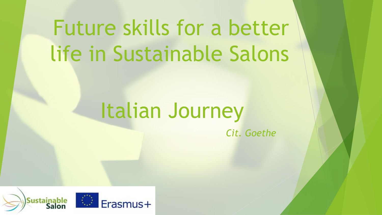# Future skills for a better life in Sustainable Salons

## Italian Journey

*Cit. Goethe*

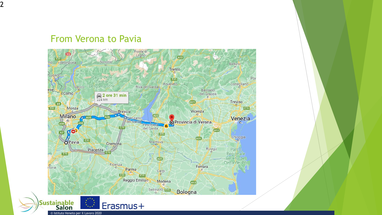#### From Verona to Pavia

2

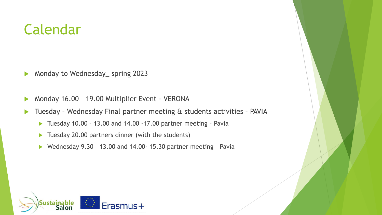#### Calendar

Monday to Wednesday\_ spring 2023

- Monday 16.00 19.00 Multiplier Event VERONA
- Tuesday Wednesday Final partner meeting & students activities PAVIA
	- ▶ Tuesday 10.00 13.00 and 14.00 -17.00 partner meeting Pavia
	- Tuesday 20.00 partners dinner (with the students)
	- ▶ Wednesday 9.30 13.00 and 14.00 15.30 partner meeting Pavia

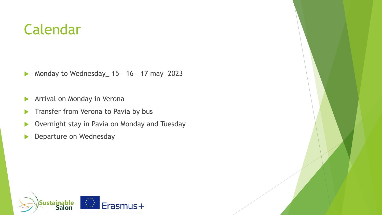#### Calendar

▶ Monday to Wednesday 15 - 16 - 17 may 2023

- **Arrival on Monday in Verona**
- **Transfer from Verona to Pavia by bus**
- ▶ Overnight stay in Pavia on Monday and Tuesday
- **Departure on Wednesday**

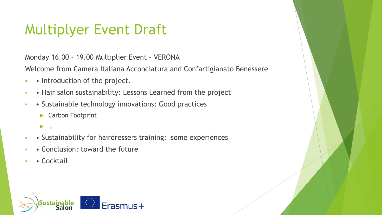## Multiplyer Event Draft

Monday 16.00 – 19.00 Multiplier Event – VERONA

Welcome from Camera Italiana Acconciatura and Confartigianato Benessere

- **• Introduction of the project.**
- **• Hair salon sustainability: Lessons Learned from the project**
- **• Sustainable technology innovations: Good practices** 
	- ▶ Carbon Footprint
	- …
- **•** Sustainability for hairdressers training: some experiences
- • Conclusion: toward the future
- • Cocktail

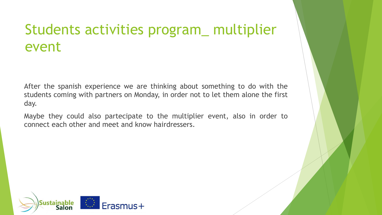### Students activities program\_ multiplier event

After the spanish experience we are thinking about something to do with the students coming with partners on Monday, in order not to let them alone the first day.

Maybe they could also partecipate to the multiplier event, also in order to connect each other and meet and know hairdressers.

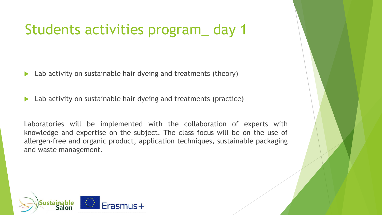### Students activities program\_ day 1

Lab activity on sustainable hair dyeing and treatments (theory)

▶ Lab activity on sustainable hair dyeing and treatments (practice)

Laboratories will be implemented with the collaboration of experts with knowledge and expertise on the subject. The class focus will be on the use of allergen-free and organic product, application techniques, sustainable packaging and waste management.

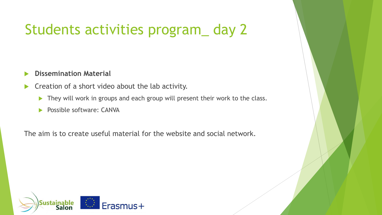### Students activities program\_ day 2

#### **Dissemination Material**

- Creation of a short video about the lab activity.
	- They will work in groups and each group will present their work to the class.
	- Possible software: CANVA

The aim is to create useful material for the website and social network.